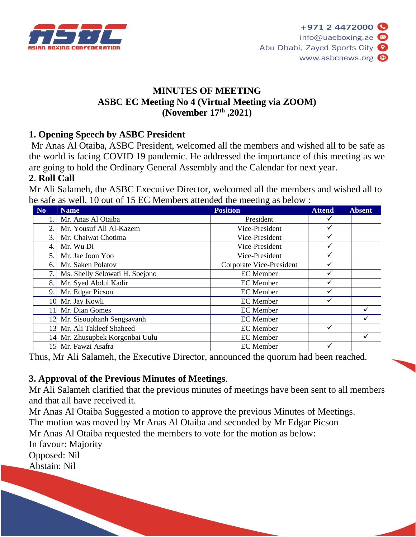

### **MINUTES OF MEETING ASBC EC Meeting No 4 (Virtual Meeting via ZOOM) (November 17th ,2021)**

### **1. Opening Speech by ASBC President**

Mr Anas Al Otaiba, ASBC President, welcomed all the members and wished all to be safe as the world is facing COVID 19 pandemic. He addressed the importance of this meeting as we are going to hold the Ordinary General Assembly and the Calendar for next year.

### **2**. **Roll Call**

Mr Ali Salameh, the ASBC Executive Director, welcomed all the members and wished all to be safe as well. 10 out of 15 EC Members attended the meeting as below :

| N <sub>0</sub> | <b>Name</b>                     | <b>Position</b>          | <b>Attend</b> | <b>Absent</b> |
|----------------|---------------------------------|--------------------------|---------------|---------------|
|                | Mr. Anas Al Otaiba              | President                |               |               |
| 2.             | Mr. Yousuf Ali Al-Kazem         | Vice-President           |               |               |
| 3.             | Mr. Chaiwat Chotima             | Vice-President           | ✓             |               |
| 4.             | Mr. Wu Di                       | Vice-President           | ✓             |               |
| 5.             | Mr. Jae Joon Yoo                | Vice-President           |               |               |
| 6.             | Mr. Saken Polatov               | Corporate Vice-President |               |               |
| 7.             | Ms. Shelly Selowati H. Soejono  | <b>EC</b> Member         |               |               |
| 8.             | Mr. Syed Abdul Kadir            | <b>EC</b> Member         |               |               |
| 9.             | Mr. Edgar Picson                | <b>EC</b> Member         |               |               |
|                | 10 Mr. Jay Kowli                | <b>EC</b> Member         |               |               |
| 11             | Mr. Dian Gomes                  | <b>EC</b> Member         |               |               |
| 12             | Mr. Sisouphanh Sengsavanh       | <b>EC</b> Member         |               |               |
|                | 13 Mr. Ali Takleef Shaheed      | <b>EC</b> Member         |               |               |
|                | 14 Mr. Zhusupbek Korgonbai Uulu | <b>EC</b> Member         |               |               |
|                | 15 Mr. Fawzi Asafra             | <b>EC</b> Member         |               |               |

Thus, Mr Ali Salameh, the Executive Director, announced the quorum had been reached.

#### **3. Approval of the Previous Minutes of Meetings**.

Mr Ali Salameh clarified that the previous minutes of meetings have been sent to all members and that all have received it.

Mr Anas Al Otaiba Suggested a motion to approve the previous Minutes of Meetings. The motion was moved by Mr Anas Al Otaiba and seconded by Mr Edgar Picson Mr Anas Al Otaiba requested the members to vote for the motion as below: In favour: Majority Opposed: Nil Abstain: Nil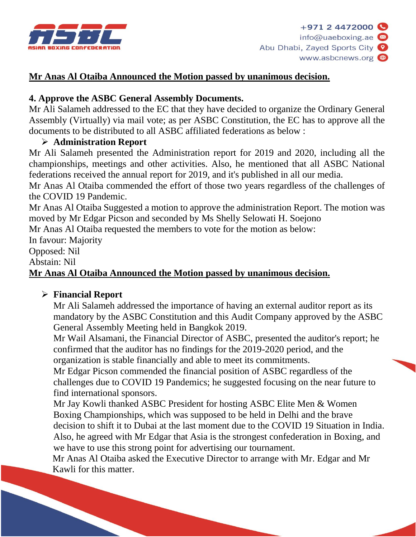

## **Mr Anas Al Otaiba Announced the Motion passed by unanimous decision.**

### **4. Approve the ASBC General Assembly Documents.**

Mr Ali Salameh addressed to the EC that they have decided to organize the Ordinary General Assembly (Virtually) via mail vote; as per ASBC Constitution, the EC has to approve all the documents to be distributed to all ASBC affiliated federations as below :

### ➢ **Administration Report**

Mr Ali Salameh presented the Administration report for 2019 and 2020, including all the championships, meetings and other activities. Also, he mentioned that all ASBC National federations received the annual report for 2019, and it's published in all our media.

Mr Anas Al Otaiba commended the effort of those two years regardless of the challenges of the COVID 19 Pandemic.

Mr Anas Al Otaiba Suggested a motion to approve the administration Report. The motion was moved by Mr Edgar Picson and seconded by Ms Shelly Selowati H. Soejono

Mr Anas Al Otaiba requested the members to vote for the motion as below:

In favour: Majority

Opposed: Nil

Abstain: Nil

### **Mr Anas Al Otaiba Announced the Motion passed by unanimous decision.**

#### ➢ **Financial Report**

Mr Ali Salameh addressed the importance of having an external auditor report as its mandatory by the ASBC Constitution and this Audit Company approved by the ASBC General Assembly Meeting held in Bangkok 2019.

Mr Wail Alsamani, the Financial Director of ASBC, presented the auditor's report; he confirmed that the auditor has no findings for the 2019-2020 period, and the organization is stable financially and able to meet its commitments.

Mr Edgar Picson commended the financial position of ASBC regardless of the challenges due to COVID 19 Pandemics; he suggested focusing on the near future to find international sponsors.

Mr Jay Kowli thanked ASBC President for hosting ASBC Elite Men & Women Boxing Championships, which was supposed to be held in Delhi and the brave decision to shift it to Dubai at the last moment due to the COVID 19 Situation in India. Also, he agreed with Mr Edgar that Asia is the strongest confederation in Boxing, and we have to use this strong point for advertising our tournament.

Mr Anas Al Otaiba asked the Executive Director to arrange with Mr. Edgar and Mr Kawli for this matter.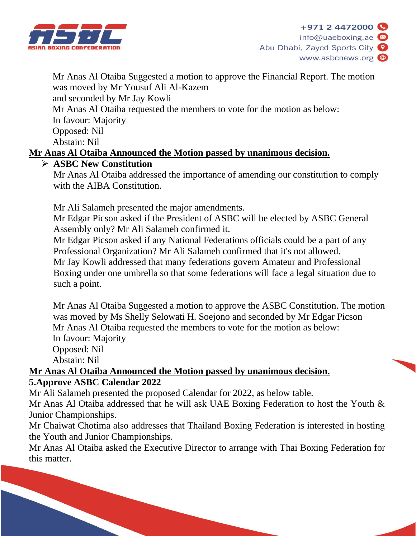

Mr Anas Al Otaiba Suggested a motion to approve the Financial Report. The motion was moved by Mr Yousuf Ali Al-Kazem and seconded by Mr Jay Kowli Mr Anas Al Otaiba requested the members to vote for the motion as below: In favour: Majority Opposed: Nil Abstain: Nil **Mr Anas Al Otaiba Announced the Motion passed by unanimous decision.**

### ➢ **ASBC New Constitution**

Mr Anas Al Otaiba addressed the importance of amending our constitution to comply with the AIBA Constitution.

Mr Ali Salameh presented the major amendments.

Mr Edgar Picson asked if the President of ASBC will be elected by ASBC General Assembly only? Mr Ali Salameh confirmed it.

Mr Edgar Picson asked if any National Federations officials could be a part of any Professional Organization? Mr Ali Salameh confirmed that it's not allowed. Mr Jay Kowli addressed that many federations govern Amateur and Professional Boxing under one umbrella so that some federations will face a legal situation due to such a point.

Mr Anas Al Otaiba Suggested a motion to approve the ASBC Constitution. The motion was moved by Ms Shelly Selowati H. Soejono and seconded by Mr Edgar Picson Mr Anas Al Otaiba requested the members to vote for the motion as below: In favour: Majority Opposed: Nil Abstain: Nil

#### **Mr Anas Al Otaiba Announced the Motion passed by unanimous decision. 5.Approve ASBC Calendar 2022**

Mr Ali Salameh presented the proposed Calendar for 2022, as below table. Mr Anas Al Otaiba addressed that he will ask UAE Boxing Federation to host the Youth & Junior Championships.

Mr Chaiwat Chotima also addresses that Thailand Boxing Federation is interested in hosting the Youth and Junior Championships.

Mr Anas Al Otaiba asked the Executive Director to arrange with Thai Boxing Federation for this matter.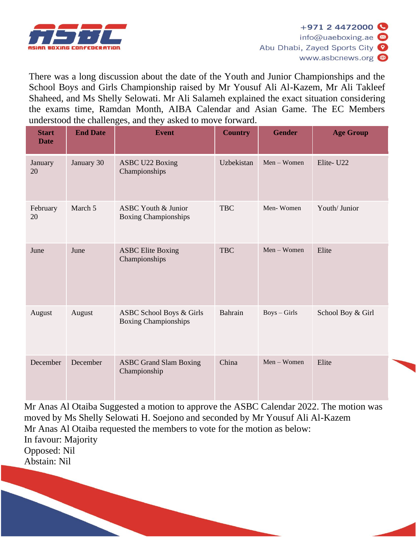

There was a long discussion about the date of the Youth and Junior Championships and the School Boys and Girls Championship raised by Mr Yousuf Ali Al-Kazem, Mr Ali Takleef Shaheed, and Ms Shelly Selowati. Mr Ali Salameh explained the exact situation considering the exams time, Ramdan Month, AIBA Calendar and Asian Game. The EC Members understood the challenges, and they asked to move forward.

| <b>Start</b><br><b>Date</b> | <b>End Date</b> | <b>Event</b>                                                  | <b>Country</b> | <b>Gender</b>  | <b>Age Group</b>  |
|-----------------------------|-----------------|---------------------------------------------------------------|----------------|----------------|-------------------|
| January<br>20               | January 30      | <b>ASBC U22 Boxing</b><br>Championships                       | Uzbekistan     | $Men - Women$  | Elite-U22         |
| February<br>20              | March 5         | <b>ASBC Youth &amp; Junior</b><br><b>Boxing Championships</b> | <b>TBC</b>     | Men-Women      | Youth/ Junior     |
| June                        | June            | <b>ASBC Elite Boxing</b><br>Championships                     | <b>TBC</b>     | Men - Women    | Elite             |
| August                      | August          | ASBC School Boys & Girls<br><b>Boxing Championships</b>       | Bahrain        | $Boys - Girls$ | School Boy & Girl |
| December                    | December        | <b>ASBC Grand Slam Boxing</b><br>Championship                 | China          | $Men - Women$  | Elite             |

Mr Anas Al Otaiba Suggested a motion to approve the ASBC Calendar 2022. The motion was moved by Ms Shelly Selowati H. Soejono and seconded by Mr Yousuf Ali Al-Kazem Mr Anas Al Otaiba requested the members to vote for the motion as below: In favour: Majority Opposed: Nil Abstain: Nil